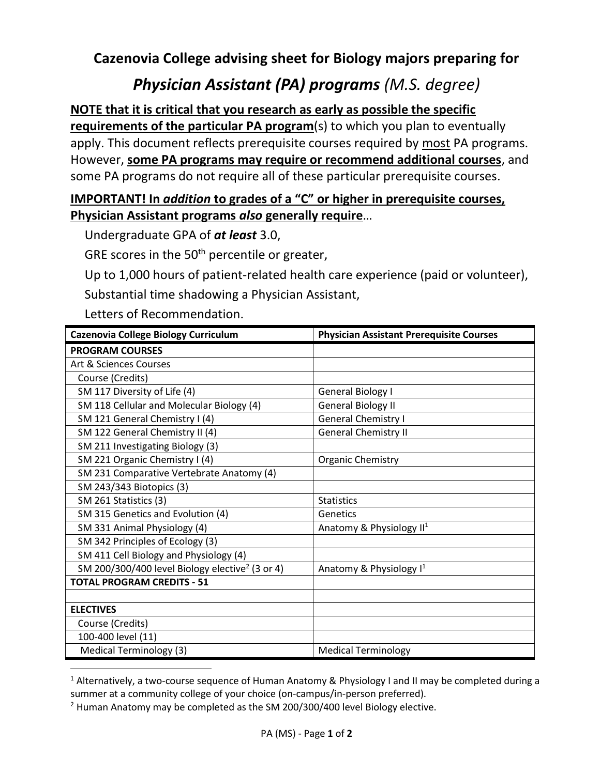**Cazenovia College advising sheet for Biology majors preparing for**

## *Physician Assistant (PA) programs (M.S. degree)*

## **NOTE that it is critical that you research as early as possible the specific**

**requirements of the particular PA program**(s) to which you plan to eventually apply. This document reflects prerequisite courses required by most PA programs. However, **some PA programs may require or recommend additional courses**, and some PA programs do not require all of these particular prerequisite courses.

## **IMPORTANT! In** *addition* **to grades of a "C" or higher in prerequisite courses, Physician Assistant programs** *also* **generally require**…

Undergraduate GPA of *at least* 3.0,

GRE scores in the 50<sup>th</sup> percentile or greater,

Up to 1,000 hours of patient-related health care experience (paid or volunteer), Substantial time shadowing a Physician Assistant,

Letters of Recommendation.

| Cazenovia College Biology Curriculum                        | <b>Physician Assistant Prerequisite Courses</b> |
|-------------------------------------------------------------|-------------------------------------------------|
| <b>PROGRAM COURSES</b>                                      |                                                 |
| Art & Sciences Courses                                      |                                                 |
| Course (Credits)                                            |                                                 |
| SM 117 Diversity of Life (4)                                | General Biology I                               |
| SM 118 Cellular and Molecular Biology (4)                   | <b>General Biology II</b>                       |
| SM 121 General Chemistry I (4)                              | General Chemistry I                             |
| SM 122 General Chemistry II (4)                             | <b>General Chemistry II</b>                     |
| SM 211 Investigating Biology (3)                            |                                                 |
| SM 221 Organic Chemistry I (4)                              | <b>Organic Chemistry</b>                        |
| SM 231 Comparative Vertebrate Anatomy (4)                   |                                                 |
| SM 243/343 Biotopics (3)                                    |                                                 |
| SM 261 Statistics (3)                                       | <b>Statistics</b>                               |
| SM 315 Genetics and Evolution (4)                           | Genetics                                        |
| SM 331 Animal Physiology (4)                                | Anatomy & Physiology II <sup>1</sup>            |
| SM 342 Principles of Ecology (3)                            |                                                 |
| SM 411 Cell Biology and Physiology (4)                      |                                                 |
| SM 200/300/400 level Biology elective <sup>2</sup> (3 or 4) | Anatomy & Physiology $I^1$                      |
| <b>TOTAL PROGRAM CREDITS - 51</b>                           |                                                 |
|                                                             |                                                 |
| <b>ELECTIVES</b>                                            |                                                 |
| Course (Credits)                                            |                                                 |
| 100-400 level (11)                                          |                                                 |
| <b>Medical Terminology (3)</b>                              | <b>Medical Terminology</b>                      |

<sup>&</sup>lt;sup>1</sup> Alternatively, a two-course sequence of Human Anatomy & Physiology I and II may be completed during a summer at a community college of your choice (on-campus/in-person preferred).

 $2$  Human Anatomy may be completed as the SM 200/300/400 level Biology elective.